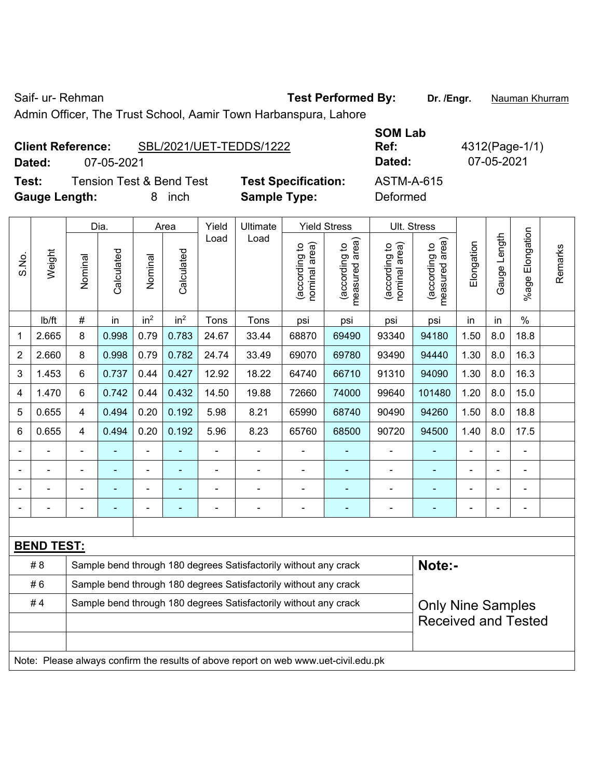Saif- ur- Rehman **Test Performed By:** Dr. /Engr. **Nauman Khurram** 

Admin Officer, The Trust School, Aamir Town Harbanspura, Lahore

**Dated:** 07-05-2021 **Dated:** 07-05-2021

**Test:** Tension Test & Bend Test **Test Specification:** ASTM-A-615 **Gauge Length:** 8 inch **Sample Type:** Deformed

**SOM Lab** 

**Ref:** 4312(Page-1/1)

|                                                                        |                   |                | Dia.       |                          | Area            |                | Ultimate                                                         | <b>Yield Stress</b>            |                                 | Ult. Stress                    |                                 |            |              |                          |         |
|------------------------------------------------------------------------|-------------------|----------------|------------|--------------------------|-----------------|----------------|------------------------------------------------------------------|--------------------------------|---------------------------------|--------------------------------|---------------------------------|------------|--------------|--------------------------|---------|
| S.No.                                                                  | Weight            | Nominal        | Calculated | Nominal                  | Calculated      | Load           | Load                                                             | nominal area)<br>(according to | (according to<br>measured area) | nominal area)<br>(according to | (according to<br>measured area) | Elongation | Gauge Length | Elongation<br>$%$ age    | Remarks |
|                                                                        | lb/ft             | $\#$           | in         | in <sup>2</sup>          | in <sup>2</sup> | Tons           | Tons                                                             | psi                            | psi                             | psi                            | psi                             | in         | in           | $\%$                     |         |
| 1                                                                      | 2.665             | 8              | 0.998      | 0.79                     | 0.783           | 24.67          | 33.44                                                            | 68870                          | 69490                           | 93340                          | 94180                           | 1.50       | 8.0          | 18.8                     |         |
| 2                                                                      | 2.660             | 8              | 0.998      | 0.79                     | 0.782           | 24.74          | 33.49                                                            | 69070                          | 69780                           | 93490                          | 94440                           | 1.30       | 8.0          | 16.3                     |         |
| 3                                                                      | 1.453             | 6              | 0.737      | 0.44                     | 0.427           | 12.92          | 18.22                                                            | 64740                          | 66710                           | 91310                          | 94090                           | 1.30       | 8.0          | 16.3                     |         |
| 4                                                                      | 1.470             | 6              | 0.742      | 0.44                     | 0.432           | 14.50          | 19.88                                                            | 72660                          | 74000                           | 99640                          | 101480                          | 1.20       | 8.0          | 15.0                     |         |
| 5                                                                      | 0.655             | 4              | 0.494      | 0.20                     | 0.192           | 5.98           | 8.21                                                             | 65990                          | 68740                           | 90490                          | 94260                           | 1.50       | 8.0          | 18.8                     |         |
| 6                                                                      | 0.655             | 4              | 0.494      | 0.20                     | 0.192           | 5.96           | 8.23                                                             | 65760                          | 68500                           | 90720                          | 94500                           | 1.40       | 8.0          | 17.5                     |         |
|                                                                        |                   | $\blacksquare$ |            | $\blacksquare$           |                 | ä,             | ÷,                                                               | L,                             | $\blacksquare$                  | ÷,                             | ÷,                              | L.         |              | $\blacksquare$           |         |
|                                                                        |                   |                | ÷,         | $\overline{\phantom{a}}$ |                 | $\blacksquare$ | $\blacksquare$                                                   | ä,                             | ٠                               | $\blacksquare$                 | $\blacksquare$                  | ۳          |              | $\blacksquare$           |         |
|                                                                        |                   |                |            | $\blacksquare$           |                 |                | $\blacksquare$                                                   |                                |                                 |                                |                                 |            |              | $\blacksquare$           |         |
|                                                                        |                   |                | ۰          | ٠                        |                 | -              | $\blacksquare$                                                   | ä,                             | ۰                               | $\overline{\phantom{a}}$       | $\blacksquare$                  | ۰          |              | $\overline{\phantom{a}}$ |         |
|                                                                        |                   |                |            |                          |                 |                |                                                                  |                                |                                 |                                |                                 |            |              |                          |         |
|                                                                        | <b>BEND TEST:</b> |                |            |                          |                 |                |                                                                  |                                |                                 |                                |                                 |            |              |                          |         |
|                                                                        | #8                |                |            |                          |                 |                | Sample bend through 180 degrees Satisfactorily without any crack |                                |                                 |                                | Note:-                          |            |              |                          |         |
|                                                                        | #6                |                |            |                          |                 |                | Sample bend through 180 degrees Satisfactorily without any crack |                                |                                 |                                |                                 |            |              |                          |         |
| #4<br>Sample bend through 180 degrees Satisfactorily without any crack |                   |                |            |                          |                 |                |                                                                  | <b>Only Nine Samples</b>       |                                 |                                |                                 |            |              |                          |         |
|                                                                        |                   |                |            |                          |                 |                |                                                                  |                                |                                 |                                | <b>Received and Tested</b>      |            |              |                          |         |
|                                                                        |                   |                |            |                          |                 |                |                                                                  |                                |                                 |                                |                                 |            |              |                          |         |
|                                                                        |                   |                |            |                          |                 |                |                                                                  |                                |                                 |                                |                                 |            |              |                          |         |

Note: Please always confirm the results of above report on web www.uet-civil.edu.pk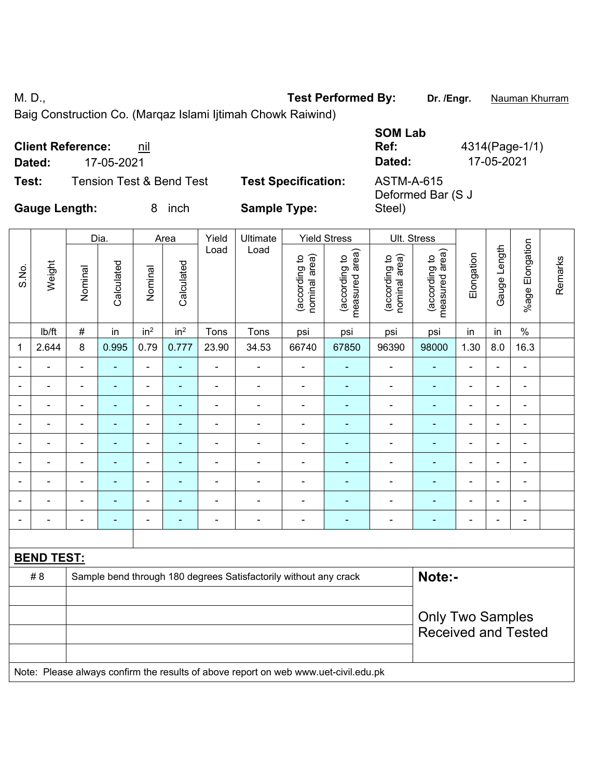M. D., **Test Performed By: Dr. /Engr.** Nauman Khurram

Baig Construction Co. (Marqaz Islami Ijtimah Chowk Raiwind)

|                      | <b>Client Reference:</b><br>nil |                            | <b>SOM Lab</b><br>Ref:          | 4314(Page-1/1) |
|----------------------|---------------------------------|----------------------------|---------------------------------|----------------|
| Dated:               | 17-05-2021                      |                            | Dated:                          | 17-05-2021     |
| Test:                | Tension Test & Bend Test        | <b>Test Specification:</b> | ASTM-A-615<br>Deformed Bar (S J |                |
| <b>Gauge Length:</b> | inch                            | <b>Sample Type:</b>        | Steel)                          |                |

|                                                                                  |                   |                          | Dia.       |                          | Area                     | Yield          | <b>Ultimate</b> |                                | <b>Yield Stress</b>             | Ult. Stress                    |                                 |                |                          |                 |         |
|----------------------------------------------------------------------------------|-------------------|--------------------------|------------|--------------------------|--------------------------|----------------|-----------------|--------------------------------|---------------------------------|--------------------------------|---------------------------------|----------------|--------------------------|-----------------|---------|
| S.No.                                                                            | Weight            | Nominal                  | Calculated | Nominal                  | Calculated               | Load           | Load            | nominal area)<br>(according to | measured area)<br>(according to | nominal area)<br>(according to | measured area)<br>(according to | Elongation     | Gauge Length             | %age Elongation | Remarks |
|                                                                                  | Ib/ft             | $\#$                     | in         | in <sup>2</sup>          | in <sup>2</sup>          | Tons           | Tons            | psi                            | psi                             | psi                            | psi                             | in             | in                       | $\%$            |         |
| 1                                                                                | 2.644             | $\,8\,$                  | 0.995      | 0.79                     | 0.777                    | 23.90          | 34.53           | 66740                          | 67850                           | 96390                          | 98000                           | 1.30           | 8.0                      | 16.3            |         |
|                                                                                  |                   | $\blacksquare$           | ۰          | $\blacksquare$           |                          | ä,             | $\blacksquare$  | $\blacksquare$                 |                                 | ٠                              | ۰                               | $\blacksquare$ | $\blacksquare$           | $\blacksquare$  |         |
|                                                                                  |                   | $\overline{\phantom{0}}$ | ۰          | $\blacksquare$           |                          | Ē,             | $\blacksquare$  | $\blacksquare$                 |                                 | $\blacksquare$                 | $\blacksquare$                  | $\blacksquare$ | $\overline{\phantom{0}}$ | $\blacksquare$  |         |
|                                                                                  |                   | $\overline{\phantom{0}}$ | ۰          | $\blacksquare$           |                          | L,             | $\blacksquare$  | $\blacksquare$                 |                                 | ۰                              | ۰                               | $\blacksquare$ |                          | $\blacksquare$  |         |
| $\blacksquare$                                                                   | ۰                 | $\blacksquare$           | ٠          | $\blacksquare$           | $\blacksquare$           | $\overline{a}$ | $\blacksquare$  | $\blacksquare$                 | $\blacksquare$                  | $\blacksquare$                 | ٠                               | $\blacksquare$ | $\blacksquare$           | $\blacksquare$  |         |
|                                                                                  |                   | $\overline{\phantom{0}}$ | ۰          | $\blacksquare$           |                          |                | $\blacksquare$  |                                |                                 | ٠                              | $\blacksquare$                  |                |                          | $\blacksquare$  |         |
|                                                                                  |                   | ÷                        | ÷          | $\blacksquare$           |                          | Ē,             | $\blacksquare$  | $\blacksquare$                 |                                 | ۰                              | -                               | $\blacksquare$ | $\blacksquare$           | $\blacksquare$  |         |
|                                                                                  |                   | $\overline{\phantom{0}}$ | ÷          | $\overline{\phantom{a}}$ | $\overline{\phantom{a}}$ | Ē,             | $\overline{a}$  | $\blacksquare$                 | $\overline{\phantom{a}}$        | ۰                              | ۰                               | $\blacksquare$ |                          | $\blacksquare$  |         |
|                                                                                  |                   |                          |            | $\blacksquare$           |                          | ÷              | -               |                                |                                 | ۰                              |                                 |                |                          | $\blacksquare$  |         |
| $\blacksquare$                                                                   |                   | $\overline{\phantom{a}}$ | ۰          | $\blacksquare$           | $\overline{\phantom{a}}$ | ٠              | $\blacksquare$  | $\blacksquare$                 | $\overline{\phantom{a}}$        | $\blacksquare$                 | ۰                               | $\blacksquare$ | $\blacksquare$           | $\blacksquare$  |         |
|                                                                                  |                   |                          |            |                          |                          |                |                 |                                |                                 |                                |                                 |                |                          |                 |         |
|                                                                                  | <b>BEND TEST:</b> |                          |            |                          |                          |                |                 |                                |                                 |                                |                                 |                |                          |                 |         |
| Note:-<br>#8<br>Sample bend through 180 degrees Satisfactorily without any crack |                   |                          |            |                          |                          |                |                 |                                |                                 |                                |                                 |                |                          |                 |         |
|                                                                                  |                   |                          |            |                          |                          |                |                 |                                |                                 |                                |                                 |                |                          |                 |         |
|                                                                                  |                   |                          |            |                          |                          |                |                 |                                |                                 |                                | <b>Only Two Samples</b>         |                |                          |                 |         |
|                                                                                  |                   |                          |            |                          |                          |                |                 |                                |                                 |                                | <b>Received and Tested</b>      |                |                          |                 |         |

Note: Please always confirm the results of above report on web www.uet-civil.edu.pk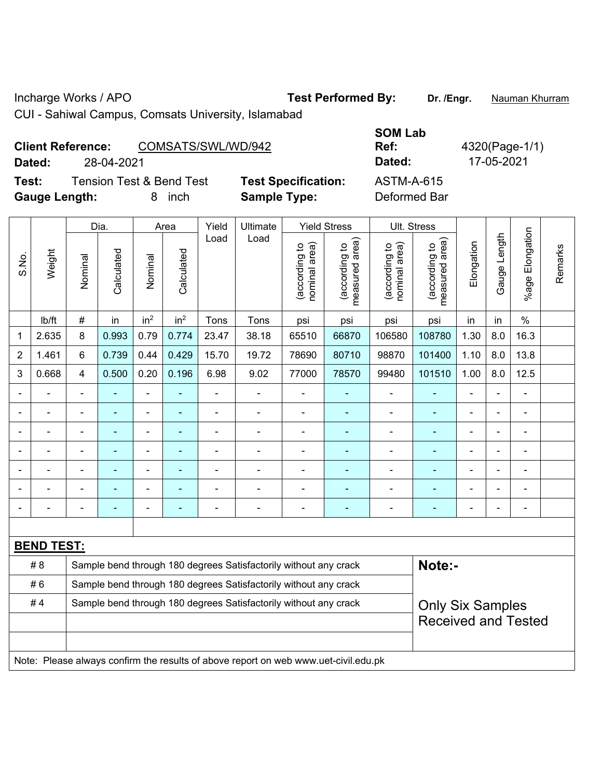Incharge Works / APO **Test Performed By: Dr. /Engr.** Nauman Khurram

CUI - Sahiwal Campus, Comsats University, Islamabad

## Client Reference: COMSATS/SWL/WD/942 **Dated:** 28-04-2021 **Dated:** 17-05-2021

**Test:** Tension Test & Bend Test **Test Specification:** ASTM-A-615 **Gauge Length:** 8 inch **Sample Type:** Deformed Bar

**SOM Lab** 

**Ref:** 4320(Page-1/1)

|       |                   |                                                                  | Dia.                     |                          | Area                     | Yield          | Ultimate<br>Load                                                 |                                | <b>Yield Stress</b>             |                                | Ult. Stress                     |                |              |                       |         |
|-------|-------------------|------------------------------------------------------------------|--------------------------|--------------------------|--------------------------|----------------|------------------------------------------------------------------|--------------------------------|---------------------------------|--------------------------------|---------------------------------|----------------|--------------|-----------------------|---------|
| S.No. | Weight            | Nominal                                                          | Calculated               | Nominal                  | Calculated               | Load           |                                                                  | nominal area)<br>(according to | (according to<br>measured area) | (according to<br>nominal area) | (according to<br>measured area) | Elongation     | Gauge Length | Elongation<br>$%$ age | Remarks |
|       | lb/ft             | $\#$                                                             | in                       | in <sup>2</sup>          | in <sup>2</sup>          | Tons           | Tons                                                             | psi                            | psi                             | psi                            | psi                             | in             | in           | $\%$                  |         |
| 1     | 2.635             | 8                                                                | 0.993                    | 0.79                     | 0.774                    | 23.47          | 38.18                                                            | 65510                          | 66870                           | 106580                         | 108780                          | 1.30           | 8.0          | 16.3                  |         |
| 2     | 1.461             | 6                                                                | 0.739                    | 0.44                     | 0.429                    | 15.70          | 19.72                                                            | 78690                          | 80710                           | 98870                          | 101400                          | 1.10           | 8.0          | 13.8                  |         |
| 3     | 0.668             | $\overline{4}$                                                   | 0.500                    | 0.20                     | 0.196                    | 6.98           | 9.02                                                             | 77000                          | 78570                           | 99480                          | 101510                          | 1.00           | 8.0          | 12.5                  |         |
|       |                   |                                                                  |                          | $\blacksquare$           |                          | ä,             |                                                                  |                                |                                 |                                |                                 |                |              | ä,                    |         |
|       |                   | $\blacksquare$                                                   | $\blacksquare$           | $\blacksquare$           | $\overline{\phantom{a}}$ | $\blacksquare$ | $\blacksquare$                                                   | $\blacksquare$                 | $\blacksquare$                  | $\overline{\phantom{a}}$       | $\blacksquare$                  | $\blacksquare$ |              | $\blacksquare$        |         |
|       |                   | $\blacksquare$                                                   |                          | $\blacksquare$           | $\overline{\phantom{a}}$ | $\blacksquare$ |                                                                  | L,                             | ٠                               | $\blacksquare$                 | $\blacksquare$                  | $\blacksquare$ |              | $\blacksquare$        |         |
|       |                   | $\blacksquare$                                                   | $\overline{\phantom{a}}$ | $\blacksquare$           |                          | $\blacksquare$ |                                                                  |                                |                                 |                                | $\blacksquare$                  |                |              | $\blacksquare$        |         |
|       |                   |                                                                  |                          | $\overline{\phantom{0}}$ |                          | $\blacksquare$ | $\blacksquare$                                                   | $\blacksquare$                 | ۳                               |                                | ۰                               |                |              | $\blacksquare$        |         |
|       |                   | $\blacksquare$                                                   |                          | $\blacksquare$           |                          | $\blacksquare$ | $\blacksquare$                                                   | ä,                             | $\blacksquare$                  | $\blacksquare$                 | $\blacksquare$                  | $\blacksquare$ |              | $\blacksquare$        |         |
|       |                   | $\blacksquare$                                                   |                          | $\blacksquare$           | $\overline{\phantom{a}}$ | $\blacksquare$ | $\blacksquare$                                                   | Ē,                             | $\blacksquare$                  | $\blacksquare$                 | ۰                               | $\blacksquare$ |              | $\blacksquare$        |         |
|       |                   |                                                                  |                          |                          |                          |                |                                                                  |                                |                                 |                                |                                 |                |              |                       |         |
|       | <b>BEND TEST:</b> |                                                                  |                          |                          |                          |                |                                                                  |                                |                                 |                                |                                 |                |              |                       |         |
|       | #8                |                                                                  |                          |                          |                          |                | Sample bend through 180 degrees Satisfactorily without any crack |                                |                                 |                                | Note:-                          |                |              |                       |         |
|       | #6                | Sample bend through 180 degrees Satisfactorily without any crack |                          |                          |                          |                |                                                                  |                                |                                 |                                |                                 |                |              |                       |         |
|       | #4                |                                                                  |                          |                          |                          |                | Sample bend through 180 degrees Satisfactorily without any crack |                                |                                 |                                | <b>Only Six Samples</b>         |                |              |                       |         |
|       |                   |                                                                  |                          |                          |                          |                |                                                                  |                                |                                 | <b>Received and Tested</b>     |                                 |                |              |                       |         |
|       |                   |                                                                  |                          |                          |                          |                |                                                                  |                                |                                 |                                |                                 |                |              |                       |         |

Note: Please always confirm the results of above report on web www.uet-civil.edu.pk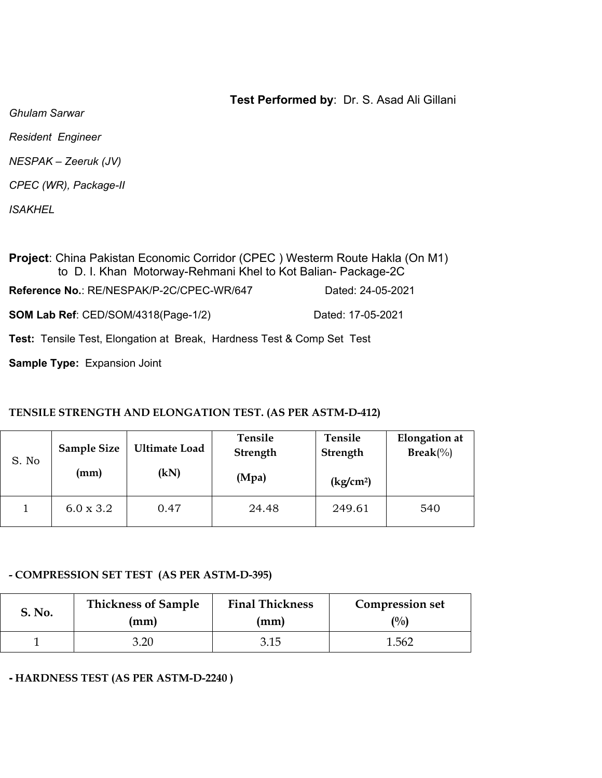*Ghulam Sarwar* 

*Resident Engineer* 

*NESPAK – Zeeruk (JV)* 

*CPEC (WR), Package-II* 

*ISAKHEL* 

**Project**: China Pakistan Economic Corridor (CPEC ) Westerm Route Hakla (On M1) to D. I. Khan Motorway-Rehmani Khel to Kot Balian- Package-2C **Reference No.**: RE/NESPAK/P-2C/CPEC-WR/647 Dated: 24-05-2021 **SOM Lab Ref**: CED/SOM/4318(Page-1/2) Dated: 17-05-2021

**Test:** Tensile Test, Elongation at Break, Hardness Test & Comp Set Test

**Sample Type:** Expansion Joint

### **TENSILE STRENGTH AND ELONGATION TEST. (AS PER ASTM-D-412)**

| S. No | <b>Sample Size</b><br>(mm) | <b>Ultimate Load</b><br>(kN) | Tensile<br>Strength<br>(Mpa) | Tensile<br><b>Strength</b><br>$\frac{\text{kg}}{\text{cm}^2}$ | <b>Elongation</b> at<br>$\text{Break}(\%)$ |
|-------|----------------------------|------------------------------|------------------------------|---------------------------------------------------------------|--------------------------------------------|
|       | $6.0 \times 3.2$           | 0.47                         | 24.48                        | 249.61                                                        | 540                                        |

### **- COMPRESSION SET TEST (AS PER ASTM-D-395)**

| <b>S. No.</b> | <b>Thickness of Sample</b> | <b>Final Thickness</b> | <b>Compression set</b> |  |  |
|---------------|----------------------------|------------------------|------------------------|--|--|
|               | (mm)                       | (mm)                   | $\binom{0}{0}$         |  |  |
|               | 3.20                       | 3.15                   | 1.562                  |  |  |

**- HARDNESS TEST (AS PER ASTM-D-2240 )**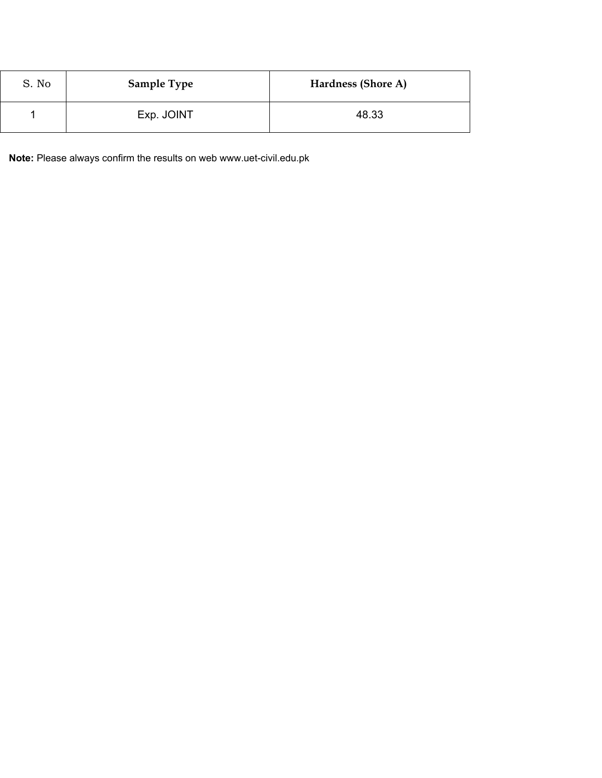| S. No | <b>Sample Type</b> | Hardness (Shore A) |
|-------|--------------------|--------------------|
|       | Exp. JOINT         | 48.33              |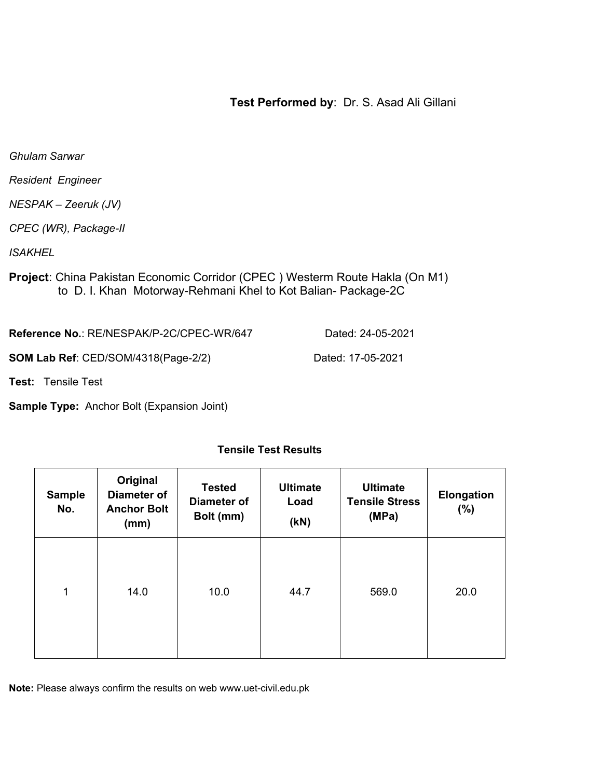*Ghulam Sarwar* 

*Resident Engineer* 

*NESPAK – Zeeruk (JV)* 

*CPEC (WR), Package-II* 

*ISAKHEL* 

**Project**: China Pakistan Economic Corridor (CPEC ) Westerm Route Hakla (On M1) to D. I. Khan Motorway-Rehmani Khel to Kot Balian- Package-2C

**Reference No.**: RE/NESPAK/P-2C/CPEC-WR/647 Dated: 24-05-2021

**SOM Lab Ref**: CED/SOM/4318(Page-2/2) Dated: 17-05-2021

**Test:** Tensile Test

**Sample Type:** Anchor Bolt (Expansion Joint)

| <b>Sample</b><br>No. | Original<br><b>Diameter of</b><br><b>Anchor Bolt</b><br>(mm) | <b>Tested</b><br><b>Diameter of</b><br>Bolt (mm) | <b>Ultimate</b><br>Load<br>(KN) | <b>Ultimate</b><br><b>Tensile Stress</b><br>(MPa) | <b>Elongation</b><br>(%) |
|----------------------|--------------------------------------------------------------|--------------------------------------------------|---------------------------------|---------------------------------------------------|--------------------------|
| 1                    | 14.0                                                         | 10.0                                             | 44.7                            | 569.0                                             | 20.0                     |

### **Tensile Test Results**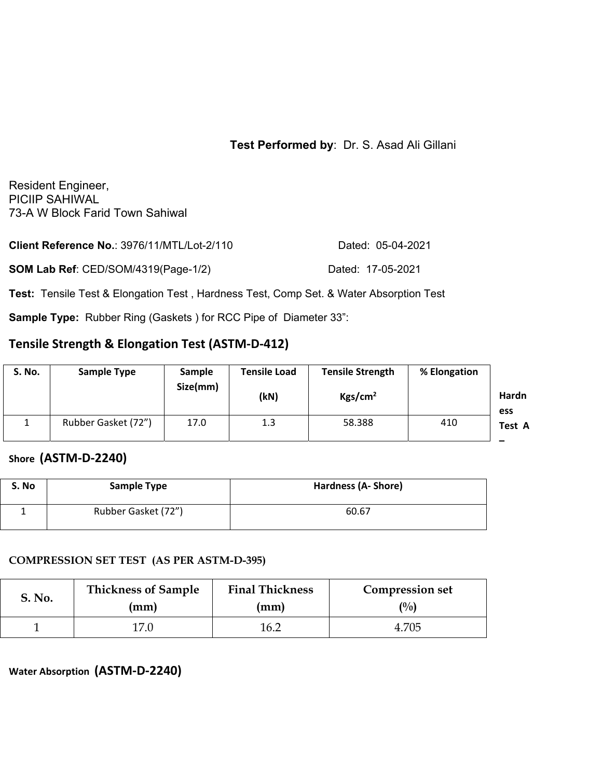Resident Engineer, PICIIP SAHIWAL 73-A W Block Farid Town Sahiwal

| Client Reference No.: 3976/11/MTL/Lot-2/110 | Dated: 05-04-2021 |
|---------------------------------------------|-------------------|
| <b>SOM Lab Ref: CED/SOM/4319(Page-1/2)</b>  | Dated: 17-05-2021 |

**Test:** Tensile Test & Elongation Test , Hardness Test, Comp Set. & Water Absorption Test

**Sample Type:** Rubber Ring (Gaskets ) for RCC Pipe of Diameter 33":

# **Tensile Strength & Elongation Test (ASTM‐D‐412)**

| S. No. | <b>Sample Type</b>  | Sample<br>Size(mm) | <b>Tensile Load</b><br>(kN) | <b>Tensile Strength</b><br>Kgs/cm <sup>2</sup> | % Elongation | Hardn<br>ess |
|--------|---------------------|--------------------|-----------------------------|------------------------------------------------|--------------|--------------|
|        | Rubber Gasket (72") | 17.0               | 1.3                         | 58.388                                         | 410          | Test A       |

## **Shore (ASTM‐D‐2240)**

| S. No | <b>Sample Type</b>  | <b>Hardness (A- Shore)</b> |
|-------|---------------------|----------------------------|
|       | Rubber Gasket (72") | 60.67                      |

#### **COMPRESSION SET TEST (AS PER ASTM-D-395)**

| S. No. | <b>Thickness of Sample</b> | <b>Final Thickness</b> | <b>Compression set</b><br>$\binom{0}{0}$ |
|--------|----------------------------|------------------------|------------------------------------------|
|        | (mm)                       | (mm)                   |                                          |
|        |                            | 16.2                   | 4.705                                    |

**Water Absorption (ASTM‐D‐2240)**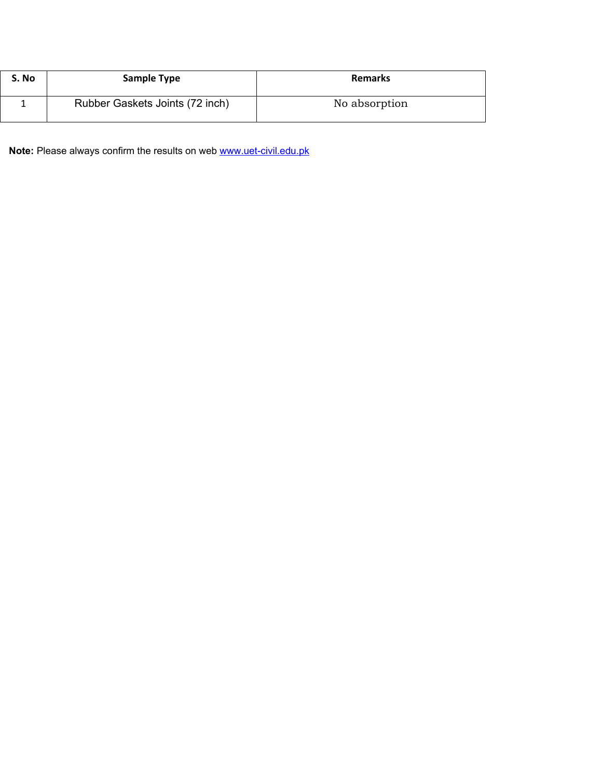| S. No | <b>Sample Type</b>              | <b>Remarks</b> |
|-------|---------------------------------|----------------|
|       | Rubber Gaskets Joints (72 inch) | No absorption  |